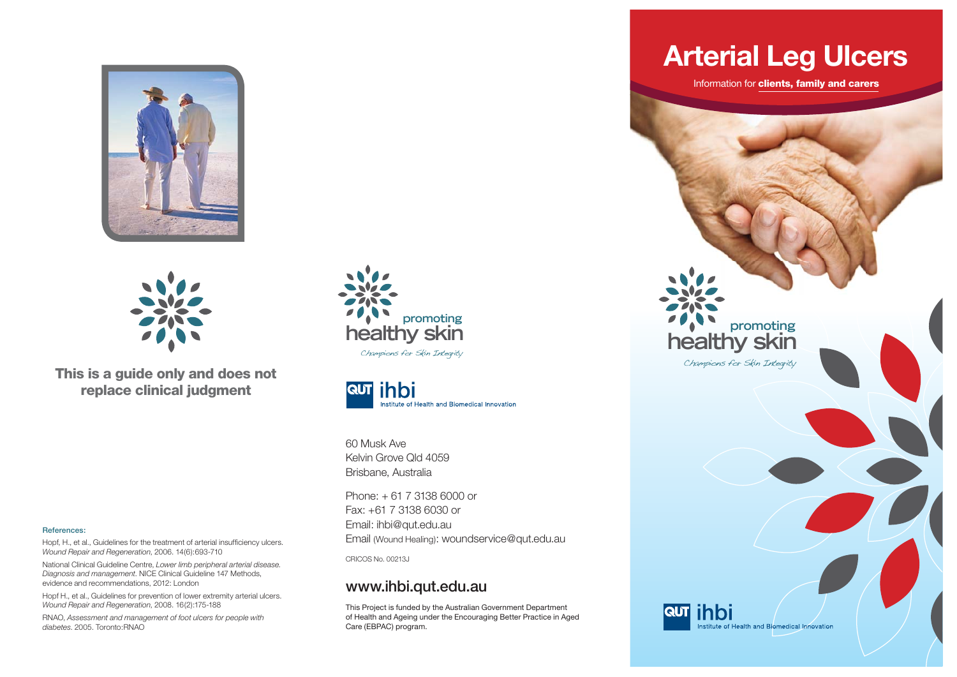



**This is a guide only and does not replace clinical judgment**

#### **References:**

Hopf, H., et al., Guidelines for the treatment of arterial insufficiency ulcers. *Wound Repair and Regeneration*, 2006. 14(6):693-710

National Clinical Guideline Centre, *Lower limb peripheral arterial disease. Diagnosis and management*. NICE Clinical Guideline 147 Methods, evidence and recommendations, 2012: London

Hopf H., et al., Guidelines for prevention of lower extremity arterial ulcers. *Wound Repair and Regeneration*, 2008. 16(2):175-188

RNAO, *Assessment and management of foot ulcers for people with diabetes*. 2005. Toronto:RNAO





60 Musk AveKelvin Grove Qld 4059 Brisbane, Australia

Phone: + 61 7 3138 6000 or Fax: +61 7 3138 6030 or Email: ihbi@qut.edu.au Email (Wound Healing): woundservice@qut.edu.au

CRICOS No. 00213J

#### **www.ihbi.qut.edu.au**

This Project is funded by the Australian Government Department of Health and Ageing under the Encouraging Better Practice in Aged Care (EBPAC) program.

### **Arterial Leg Ulcers**

Information for **clients, family and carers**